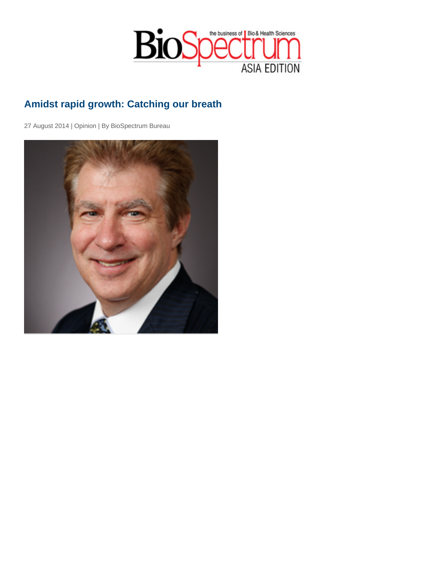## Amidst rapid growth: Catching our breath

27 August 2014 | Opinion | By BioSpectrum Bureau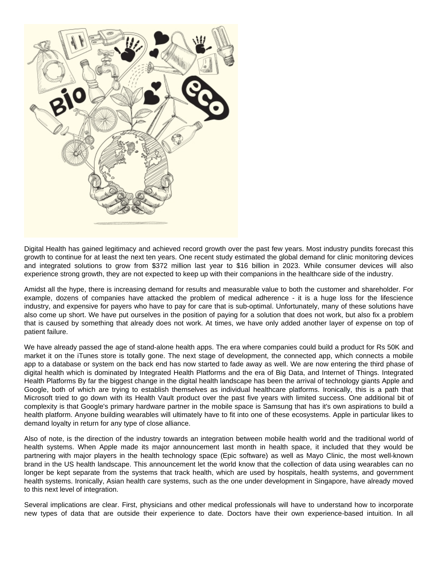

Digital Health has gained legitimacy and achieved record growth over the past few years. Most industry pundits forecast this growth to continue for at least the next ten years. One recent study estimated the global demand for clinic monitoring devices and integrated solutions to grow from \$372 million last year to \$16 billion in 2023. While consumer devices will also experience strong growth, they are not expected to keep up with their companions in the healthcare side of the industry.

Amidst all the hype, there is increasing demand for results and measurable value to both the customer and shareholder. For example, dozens of companies have attacked the problem of medical adherence - it is a huge loss for the lifescience industry, and expensive for payers who have to pay for care that is sub-optimal. Unfortunately, many of these solutions have also come up short. We have put ourselves in the position of paying for a solution that does not work, but also fix a problem that is caused by something that already does not work. At times, we have only added another layer of expense on top of patient failure.

We have already passed the age of stand-alone health apps. The era where companies could build a product for Rs 50K and market it on the iTunes store is totally gone. The next stage of development, the connected app, which connects a mobile app to a database or system on the back end has now started to fade away as well. We are now entering the third phase of digital health which is dominated by Integrated Health Platforms and the era of Big Data, and Internet of Things. Integrated Health Platforms By far the biggest change in the digital health landscape has been the arrival of technology giants Apple and Google, both of which are trying to establish themselves as individual healthcare platforms. Ironically, this is a path that Microsoft tried to go down with its Health Vault product over the past five years with limited success. One additional bit of complexity is that Google's primary hardware partner in the mobile space is Samsung that has it's own aspirations to build a health platform. Anyone building wearables will ultimately have to fit into one of these ecosystems. Apple in particular likes to demand loyalty in return for any type of close alliance.

Also of note, is the direction of the industry towards an integration between mobile health world and the traditional world of health systems. When Apple made its major announcement last month in health space, it included that they would be partnering with major players in the health technology space (Epic software) as well as Mayo Clinic, the most well-known brand in the US health landscape. This announcement let the world know that the collection of data using wearables can no longer be kept separate from the systems that track health, which are used by hospitals, health systems, and government health systems. Ironically, Asian health care systems, such as the one under development in Singapore, have already moved to this next level of integration.

Several implications are clear. First, physicians and other medical professionals will have to understand how to incorporate new types of data that are outside their experience to date. Doctors have their own experience-based intuition. In all